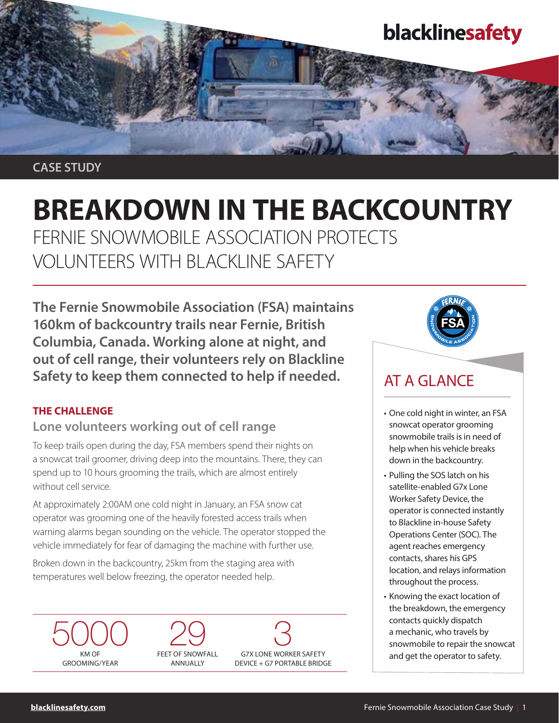

CASE STUDY

# BREAKDOWN IN THE BACKCOUNTRY FERNIE SNOWMOBILE ASSOCIATION PROTECTS

VOLUNTEERS WITH BLACKLINE SAFETY

The Fernie Snowmobile Association (FSA) maintains 160km of backcountry trails near Fernie, British Columbia, Canada. Working alone at night, and out of cell range, their volunteers rely on Blackline Safety to keep them connected to help if needed.

### THE CHALLENGE

# Lone volunteers working out of cell range

To keep trails open during the day, FSA members spend their nights on a snowcat trail groomer, driving deep into the mountains. There, they can spend up to 10 hours grooming the trails, which are almost entirely without cell service.

At approximately 2:00AM one cold night in January, an FSA snow cat operator was grooming one of the heavily forested access trails when warning alarms began sounding on the vehicle. The operator stopped the vehicle immediately for fear of damaging the machine with further use.

Broken down in the backcountry, 25km from the staging area with temperatures well below freezing, the operator needed help.









# AT A GLANCE

- One cold night in winter, an FSA snowcat operator grooming snowmobile trails is in need of help when his vehicle breaks down in the backcountry.
- Pulling the SOS latch on his satellite-enabled G7x Lone Worker Safety Device, the operator is connected instantly to Blackline in-house Safety Operations Center (SOC). The agent reaches emergency contacts, shares his GPS location, and relays information throughout the process.
- Knowing the exact location of the breakdown, the emergency contacts quickly dispatch a mechanic, who travels by snowmobile to repair the snowcat and get the operator to safety.